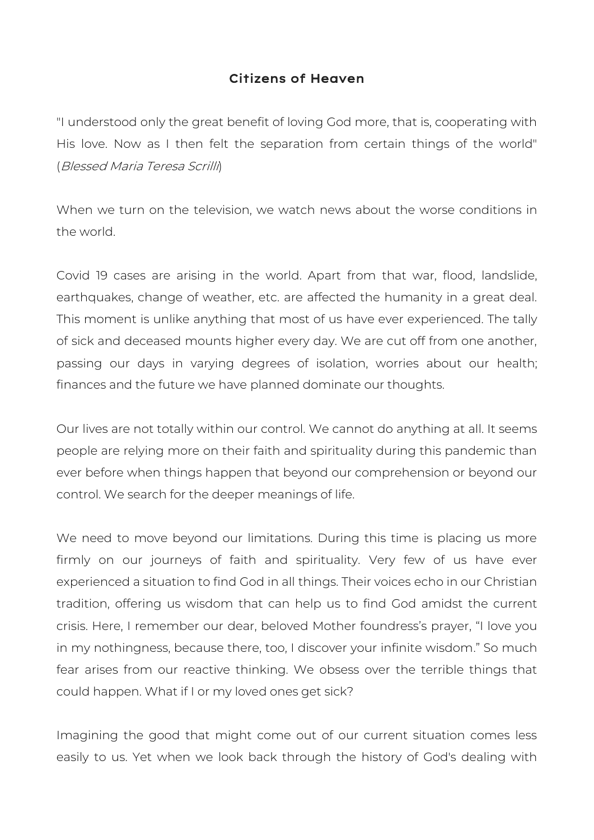## Citizens of Heaven

"I understood only the great benefit of loving God more, that is, cooperating with His love. Now as I then felt the separation from certain things of the world" (Blessed Maria Teresa Scrilli)

When we turn on the television, we watch news about the worse conditions in the world.

Covid 19 cases are arising in the world. Apart from that war, flood, landslide, earthquakes, change of weather, etc. are affected the humanity in a great deal. This moment is unlike anything that most of us have ever experienced. The tally of sick and deceased mounts higher every day. We are cut off from one another, passing our days in varying degrees of isolation, worries about our health; finances and the future we have planned dominate our thoughts.

Our lives are not totally within our control. We cannot do anything at all. It seems people are relying more on their faith and spirituality during this pandemic than ever before when things happen that beyond our comprehension or beyond our control. We search for the deeper meanings of life.

We need to move beyond our limitations. During this time is placing us more firmly on our journeys of faith and spirituality. Very few of us have ever experienced a situation to find God in all things. Their voices echo in our Christian tradition, offering us wisdom that can help us to find God amidst the current crisis. Here, I remember our dear, beloved Mother foundress's prayer, "I love you in my nothingness, because there, too, I discover your infinite wisdom." So much fear arises from our reactive thinking. We obsess over the terrible things that could happen. What if I or my loved ones get sick?

Imagining the good that might come out of our current situation comes less easily to us. Yet when we look back through the history of God's dealing with